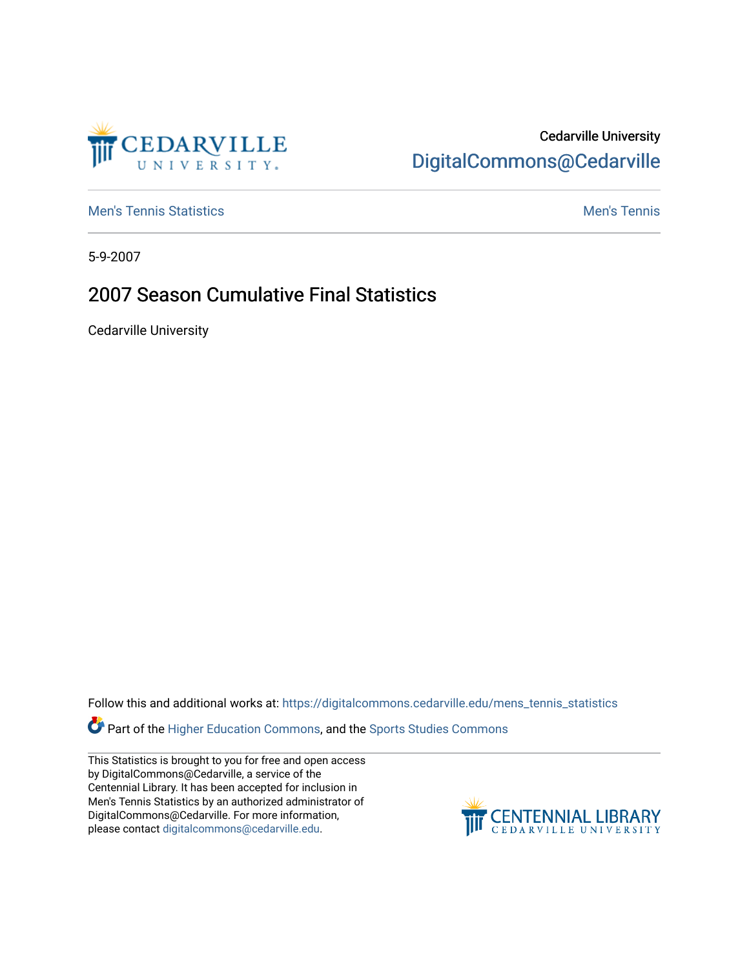## Cedarville University [DigitalCommons@Cedarville](https://digitalcommons.cedarville.edu/)

**[Men's Tennis Statistics](https://digitalcommons.cedarville.edu/mens_tennis_statistics) Mental According to the Control of Control According Mental Men's Tennis** 

5-9-2007

## 2007 Season Cumulative Final Statistics

Cedarville University

Follow this and additional works at: [https://digitalcommons.cedarville.edu/mens\\_tennis\\_statistics](https://digitalcommons.cedarville.edu/mens_tennis_statistics?utm_source=digitalcommons.cedarville.edu%2Fmens_tennis_statistics%2F700&utm_medium=PDF&utm_campaign=PDFCoverPages)

**Part of the [Higher Education Commons,](http://network.bepress.com/hgg/discipline/1245?utm_source=digitalcommons.cedarville.edu%2Fmens_tennis_statistics%2F700&utm_medium=PDF&utm_campaign=PDFCoverPages) and the Sports Studies Commons** 

This Statistics is brought to you for free and open access by DigitalCommons@Cedarville, a service of the Centennial Library. It has been accepted for inclusion in Men's Tennis Statistics by an authorized administrator of DigitalCommons@Cedarville. For more information, please contact [digitalcommons@cedarville.edu](mailto:digitalcommons@cedarville.edu).